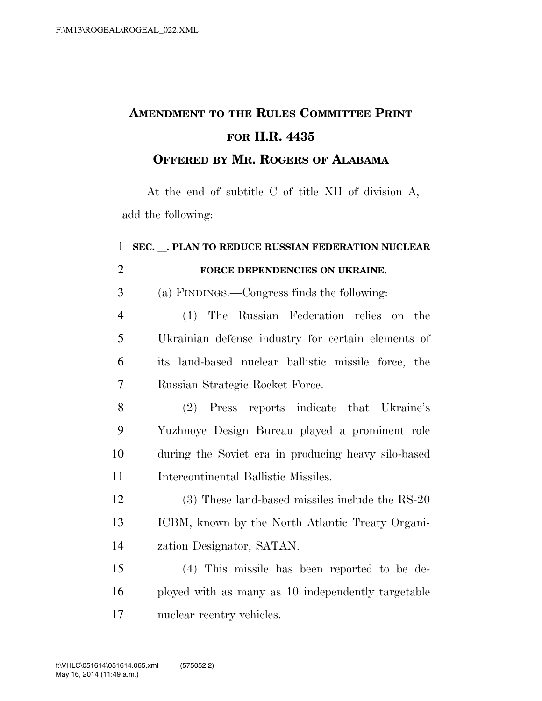## **AMENDMENT TO THE RULES COMMITTEE PRINT FOR H.R. 4435**

## **OFFERED BY MR. ROGERS OF ALABAMA**

At the end of subtitle C of title XII of division A, add the following:

## **SEC.** l**. PLAN TO REDUCE RUSSIAN FEDERATION NUCLEAR FORCE DEPENDENCIES ON UKRAINE.**  (a) FINDINGS.—Congress finds the following: (1) The Russian Federation relies on the Ukrainian defense industry for certain elements of its land-based nuclear ballistic missile force, the Russian Strategic Rocket Force. (2) Press reports indicate that Ukraine's Yuzhnoye Design Bureau played a prominent role during the Soviet era in producing heavy silo-based Intercontinental Ballistic Missiles. (3) These land-based missiles include the RS-20 ICBM, known by the North Atlantic Treaty Organi- zation Designator, SATAN. (4) This missile has been reported to be de-ployed with as many as 10 independently targetable

nuclear reentry vehicles.